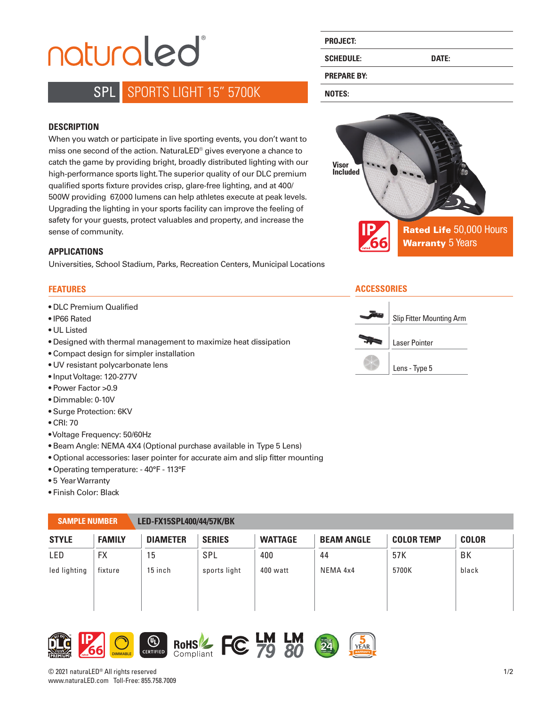# naturaled®

## SPL SPORTS LIGHT 15" 5700K

#### **DESCRIPTION**

When you watch or participate in live sporting events, you don't want to miss one second of the action. NaturaLED® gives everyone a chance to catch the game by providing bright, broadly distributed lighting with our high-performance sports light. The superior quality of our DLC premium qualified sports fixture provides crisp, glare-free lighting, and at 400/ 500W providing 67,000 lumens can help athletes execute at peak levels. Upgrading the lighting in your sports facility can improve the feeling of safety for your guests, protect valuables and property, and increase the sense of community. **IP**

#### **APPLICATIONS**

Universities, School Stadium, Parks, Recreation Centers, Municipal Locations

#### **FEATURES**

- DLC Premium Qualified
- IP66 Rated
- UL Listed
- Designed with thermal management to maximize heat dissipation
- Compact design for simpler installation
- UV resistant polycarbonate lens
- Input Voltage: 120-277V
- Power Factor >0.9
- Dimmable: 0-10V
- Surge Protection: 6KV
- CRI: 70
- Voltage Frequency: 50/60Hz
- Beam Angle: NEMA 4X4 (Optional purchase available in Type 5 Lens)
- Optional accessories: laser pointer for accurate aim and slip fitter mounting
- Operating temperature: 40°F 113°F
- 5 Year Warranty
- Finish Color: Black

#### **SAMPLE NUMBER LED-FX15SPL400/44/57K/BK**

| <b>STYLE</b> | <b>FAMILY</b> | <b>DIAMETER</b> | <b>SERIES</b> | <b>WATTAGE</b> | <b>BEAM ANGLE</b> | <b>COLOR TEMP</b> | <b>COLOR</b> |
|--------------|---------------|-----------------|---------------|----------------|-------------------|-------------------|--------------|
| LED          | <b>FX</b>     | 15              | SPL           | 400            | 44                | 57 K              | BK           |
| led lighting | fixture       | 15 inch         | sports light  | 400 watt       | NEMA 4x4          | 5700K             | black        |

## **IP 66**







**FC** 

# **PROJECT:**

**SCHEDULE: DATE:** 

#### **PREPARE BY:**

**NOTES:**



#### **ACCESSORIES**



© 2021 naturaLED® All rights reserved www.naturaLED.com Toll-Free: 855.758.7009